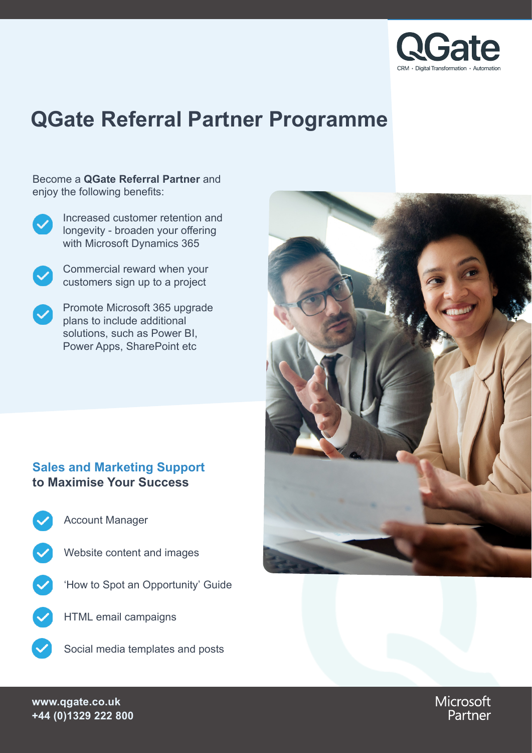

# **QGate Referral Partner Programme**

Become a **QGate Referral Partner** and enjoy the following benefits:



Increased customer retention and longevity - broaden your offering with Microsoft Dynamics 365



Commercial reward when your customers sign up to a project

Promote Microsoft 365 upgrade plans to include additional solutions, such as Power BI, Power Apps, SharePoint etc

## **Sales and Marketing Support to Maximise Your Success**

- Account Manager
- Website content and images
- 'How to Spot an Opportunity' Guide
	- HTML email campaigns
	- Social media templates and posts



Microsoft Partner

**www.qgate.co.uk +44 (0)1329 222 800**